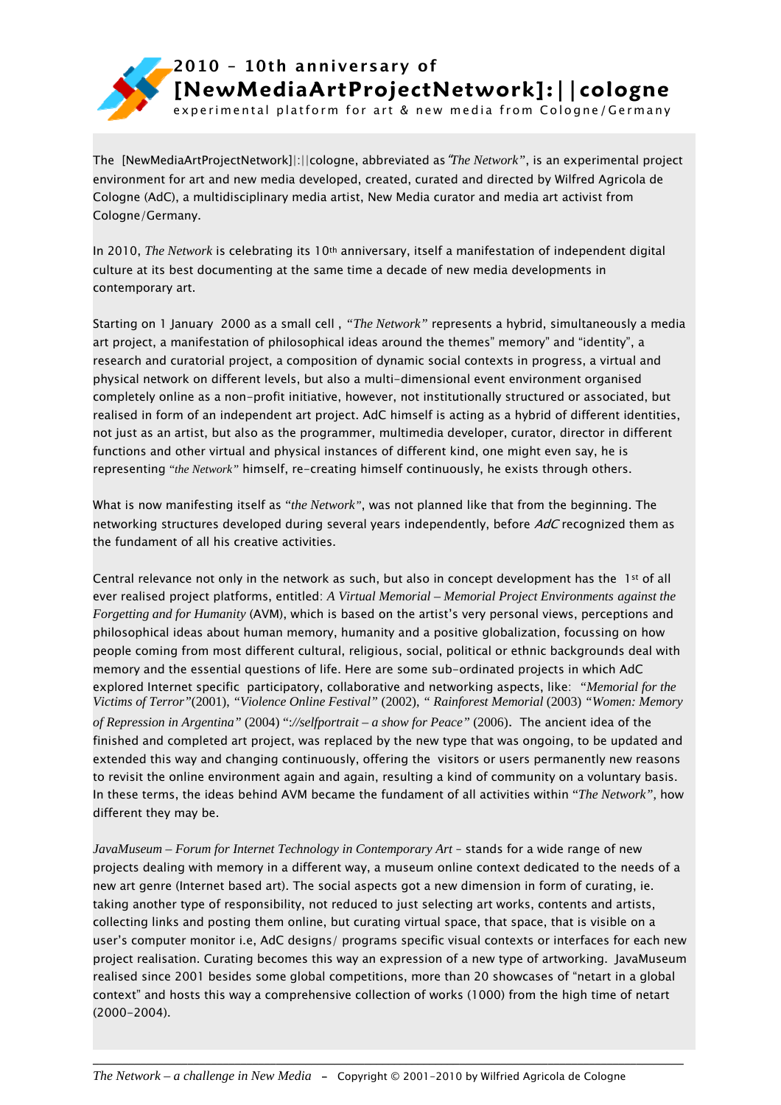

experimental platform for art & new media from Cologne/Germany

The [NewMediaArtProjectNetwork]|:||cologne, abbreviated as"*The Network"*, is an experimental project environment for art and new media developed, created, curated and directed by Wilfred Agricola de Cologne (AdC), a multidisciplinary media artist, New Media curator and media art activist from Cologne/Germany.

In 2010, *The Network* is celebrating its 10<sup>th</sup> anniversary, itself a manifestation of independent digital culture at its best documenting at the same time a decade of new media developments in contemporary art.

Starting on 1 January 2000 as a small cell , *"The Network"* represents a hybrid, simultaneously a media art project, a manifestation of philosophical ideas around the themes" memory" and "identity", a research and curatorial project, a composition of dynamic social contexts in progress, a virtual and physical network on different levels, but also a multi-dimensional event environment organised completely online as a non-profit initiative, however, not institutionally structured or associated, but realised in form of an independent art project. AdC himself is acting as a hybrid of different identities, not just as an artist, but also as the programmer, multimedia developer, curator, director in different functions and other virtual and physical instances of different kind, one might even say, he is representing "*the Network"* himself, re-creating himself continuously, he exists through others.

What is now manifesting itself as "*the Network"*, was not planned like that from the beginning. The networking structures developed during several years independently, before AdC recognized them as the fundament of all his creative activities.

Central relevance not only in the network as such, but also in concept development has the  $1^{st}$  of all ever realised project platforms, entitled: *A Virtual Memorial – Memorial Project Environments against the Forgetting and for Humanity* (AVM), which is based on the artist's very personal views, perceptions and philosophical ideas about human memory, humanity and a positive globalization, focussing on how people coming from most different cultural, religious, social, political or ethnic backgrounds deal with memory and the essential questions of life. Here are some sub-ordinated projects in which AdC explored Internet specific participatory, collaborative and networking aspects, like: *"Memorial for the Victims of Terror"*(2001), *"Violence Online Festival"* (2002), *" Rainforest Memorial* (2003) *"Women: Memory of Repression in Argentina"* (2004) ":*//selfportrait – a show for Peace"* (2006). The ancient idea of the finished and completed art project, was replaced by the new type that was ongoing, to be updated and extended this way and changing continuously, offering the visitors or users permanently new reasons to revisit the online environment again and again, resulting a kind of community on a voluntary basis. In these terms, the ideas behind AVM became the fundament of all activities within "*The Network"*, how different they may be.

*JavaMuseum – Forum for Internet Technology in Contemporary Art* – stands for a wide range of new projects dealing with memory in a different way, a museum online context dedicated to the needs of a new art genre (Internet based art). The social aspects got a new dimension in form of curating, ie. taking another type of responsibility, not reduced to just selecting art works, contents and artists, collecting links and posting them online, but curating virtual space, that space, that is visible on a user's computer monitor i.e, AdC designs/ programs specific visual contexts or interfaces for each new project realisation. Curating becomes this way an expression of a new type of artworking. JavaMuseum realised since 2001 besides some global competitions, more than 20 showcases of "netart in a global context" and hosts this way a comprehensive collection of works (1000) from the high time of netart (2000-2004).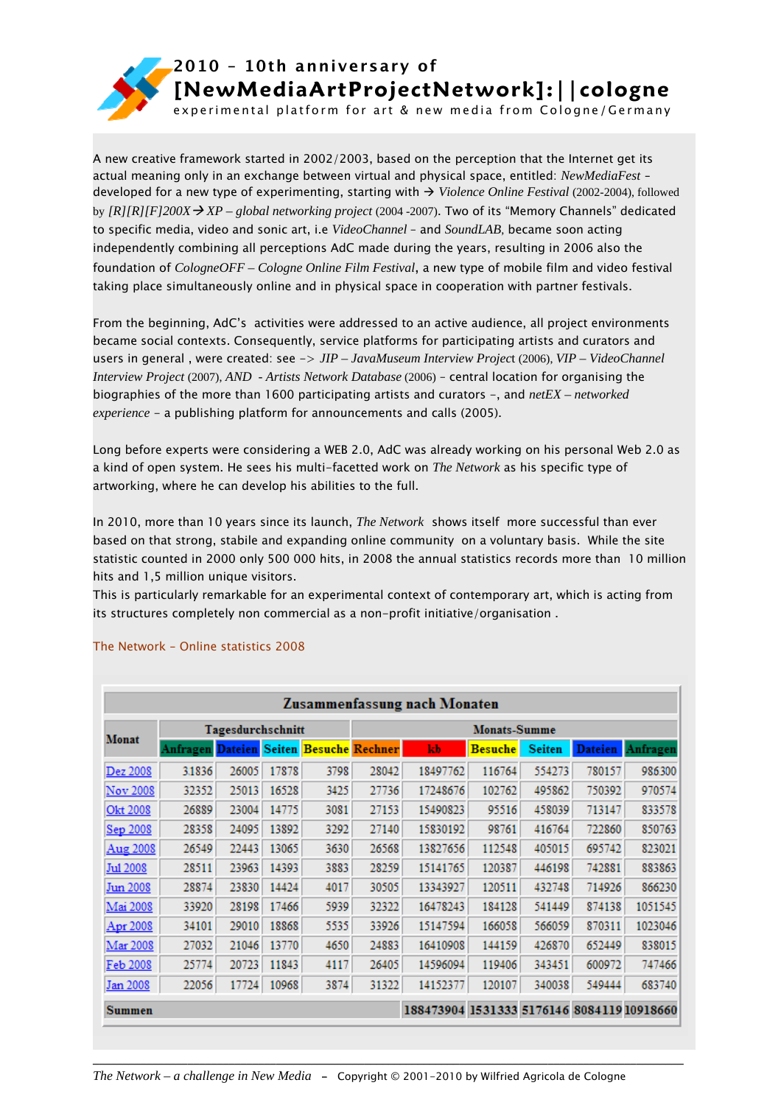

experimental platform for art & new media from Cologne/Germany

A new creative framework started in 2002/2003, based on the perception that the Internet get its actual meaning only in an exchange between virtual and physical space, entitled: *NewMediaFest* – developed for a new type of experimenting, starting with → Violence Online Festival (2002-2004), followed by  $[R][R][F]200X \rightarrow XP - global$  *networking project* (2004 -2007). Two of its "Memory Channels" dedicated to specific media, video and sonic art, i.e *VideoChannel* – and *SoundLAB*, became soon acting independently combining all perceptions AdC made during the years, resulting in 2006 also the foundation of *CologneOFF – Cologne Online Film Festival*, a new type of mobile film and video festival taking place simultaneously online and in physical space in cooperation with partner festivals.

From the beginning, AdC's activities were addressed to an active audience, all project environments became social contexts. Consequently, service platforms for participating artists and curators and users in general , were created: see -> *JIP – JavaMuseum Interview Projec*t (2006), *VIP – VideoChannel Interview Project* (2007), *AND - Artists Network Database* (2006) – central location for organising the biographies of the more than 1600 participating artists and curators -, and *netEX – networked experience* - a publishing platform for announcements and calls (2005).

Long before experts were considering a WEB 2.0, AdC was already working on his personal Web 2.0 as a kind of open system. He sees his multi-facetted work on *The Network* as his specific type of artworking, where he can develop his abilities to the full.

In 2010, more than 10 years since its launch, *The Network* shows itself more successful than ever based on that strong, stabile and expanding online community on a voluntary basis. While the site statistic counted in 2000 only 500 000 hits, in 2008 the annual statistics records more than 10 million hits and 1,5 million unique visitors.

This is particularly remarkable for an experimental context of contemporary art, which is acting from its structures completely non commercial as a non-profit initiative/organisation .

| Zusammenfassung nach Monaten |                                                                   |       |       |      |                     |                                            |                |               |        |                  |
|------------------------------|-------------------------------------------------------------------|-------|-------|------|---------------------|--------------------------------------------|----------------|---------------|--------|------------------|
| <b>Monat</b>                 | Tagesdurchschnitt                                                 |       |       |      | <b>Monats-Summe</b> |                                            |                |               |        |                  |
|                              | Anfragen <mark>Dateien</mark> Seiten <mark>Besuche Rechner</mark> |       |       |      |                     | kb                                         | <b>Besuche</b> | <b>Seiten</b> |        | Dateien Anfragen |
| Dez 2008                     | 31836                                                             | 26005 | 17878 | 3798 | 28042               | 18497762                                   | 116764         | 554273        | 780157 | 986300           |
| Nov 2008                     | 32352                                                             | 25013 | 16528 | 3425 | 27736               | 17248676                                   | 102762         | 495862        | 750392 | 970574           |
| Okt 2008                     | 26889                                                             | 23004 | 14775 | 3081 | 27153               | 15490823                                   | 95516          | 458039        | 713147 | 833578           |
| Sep 2008                     | 28358                                                             | 24095 | 13892 | 3292 | 27140               | 15830192                                   | 98761          | 416764        | 722860 | 850763           |
| Aug 2008                     | 26549                                                             | 22443 | 13065 | 3630 | 26568               | 13827656                                   | 112548         | 405015        | 695742 | 823021           |
| <b>Jul 2008</b>              | 28511                                                             | 23963 | 14393 | 3883 | 28259               | 15141765                                   | 120387         | 446198        | 742881 | 883863           |
| Jun 2008                     | 28874                                                             | 23830 | 14424 | 4017 | 30505               | 13343927                                   | 120511         | 432748        | 714926 | 866230           |
| Mai 2008                     | 33920                                                             | 28198 | 17466 | 5939 | 32322               | 16478243                                   | 184128         | 541449        | 874138 | 1051545          |
| Apr 2008                     | 34101                                                             | 29010 | 18868 | 5535 | 33926               | 15147594                                   | 166058         | 566059        | 870311 | 1023046          |
| Mar 2008                     | 27032                                                             | 21046 | 13770 | 4650 | 24883               | 16410908                                   | 144159         | 426870        | 652449 | 838015           |
| Feb 2008                     | 25774                                                             | 20723 | 11843 | 4117 | 26405               | 14596094                                   | 119406         | 343451        | 600972 | 747466           |
| Jan 2008                     | 22056                                                             | 17724 | 10968 | 3874 | 31322               | 14152377                                   | 120107         | 340038        | 549444 | 683740           |
| Summen                       |                                                                   |       |       |      |                     | 188473904 1531333 5176146 8084119 10918660 |                |               |        |                  |

#### The Network - Online statistics 2008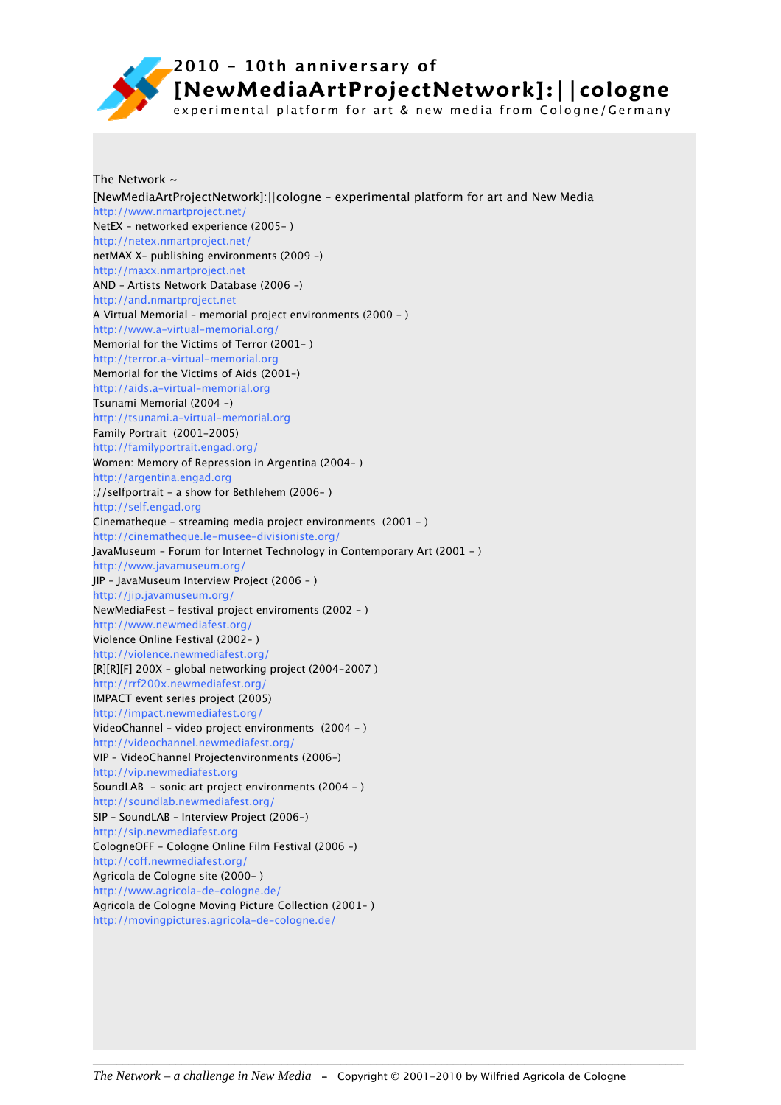

experimental platform for art & new media from Cologne/Germany

The Network  $\sim$ [NewMediaArtProjectNetwork]:||cologne – experimental platform for art and New Media http://www.nmartproject.net/ NetEX - networked experience (2005- ) http://netex.nmartproject.net/ netMAX X– publishing environments (2009 -) http://maxx.nmartproject.net AND – Artists Network Database (2006 -) http://and.nmartproject.net A Virtual Memorial – memorial project environments (2000 - ) http://www.a-virtual-memorial.org/ Memorial for the Victims of Terror (2001- ) http://terror.a-virtual-memorial.org Memorial for the Victims of Aids (2001-) http://aids.a-virtual-memorial.org Tsunami Memorial (2004 -) http://tsunami.a-virtual-memorial.org Family Portrait (2001-2005) http://familyportrait.engad.org/ Women: Memory of Repression in Argentina (2004- ) http://argentina.engad.org ://selfportrait - a show for Bethlehem (2006- ) http://self.engad.org Cinematheque – streaming media project environments (2001 - ) http://cinematheque.le-musee-divisioniste.org/ JavaMuseum - Forum for Internet Technology in Contemporary Art (2001 - ) http://www.javamuseum.org/ JIP - JavaMuseum Interview Project (2006 - ) http://jip.javamuseum.org/ NewMediaFest – festival project enviroments (2002 - ) http://www.newmediafest.org/ Violence Online Festival (2002- ) http://violence.newmediafest.org/ [R][R][F] 200X - global networking project (2004-2007 ) http://rrf200x.newmediafest.org/ IMPACT event series project (2005) http://impact.newmediafest.org/ VideoChannel – video project environments (2004 - ) http://videochannel.newmediafest.org/ VIP – VideoChannel Projectenvironments (2006-) http://vip.newmediafest.org SoundLAB - sonic art project environments (2004 - ) http://soundlab.newmediafest.org/ SIP – SoundLAB – Interview Project (2006-) http://sip.newmediafest.org CologneOFF - Cologne Online Film Festival (2006 -) http://coff.newmediafest.org/ Agricola de Cologne site (2000- ) http://www.agricola-de-cologne.de/ Agricola de Cologne Moving Picture Collection (2001- ) http://movingpictures.agricola-de-cologne.de/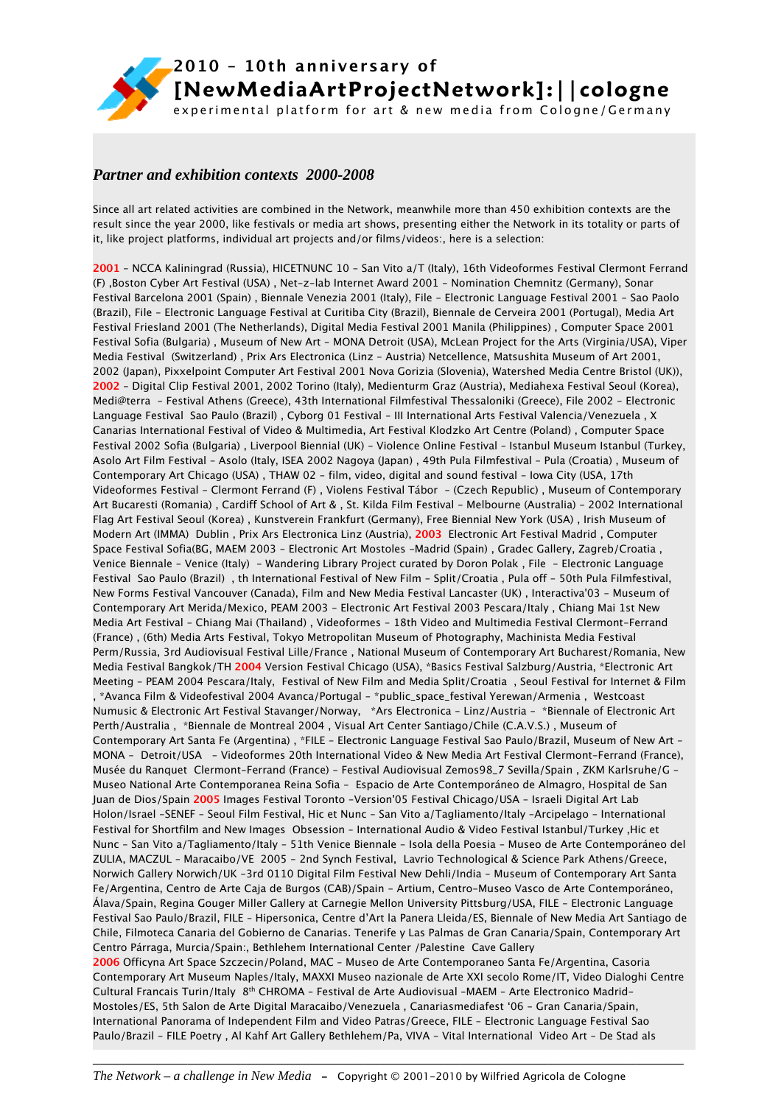

### *Partner and exhibition contexts 2000-2008*

Since all art related activities are combined in the Network, meanwhile more than 450 exhibition contexts are the result since the year 2000, like festivals or media art shows, presenting either the Network in its totality or parts of it, like project platforms, individual art projects and/or films/videos:, here is a selection:

**2001** - NCCA Kaliningrad (Russia), HICETNUNC 10 - San Vito a/T (Italy), 16th Videoformes Festival Clermont Ferrand (F) ,Boston Cyber Art Festival (USA) , Net-z-lab Internet Award 2001 - Nomination Chemnitz (Germany), Sonar Festival Barcelona 2001 (Spain) , Biennale Venezia 2001 (Italy), File - Electronic Language Festival 2001 - Sao Paolo (Brazil), File - Electronic Language Festival at Curitiba City (Brazil), Biennale de Cerveira 2001 (Portugal), Media Art Festival Friesland 2001 (The Netherlands), Digital Media Festival 2001 Manila (Philippines) , Computer Space 2001 Festival Sofia (Bulgaria) , Museum of New Art - MONA Detroit (USA), McLean Project for the Arts (Virginia/USA), Viper Media Festival (Switzerland) , Prix Ars Electronica (Linz - Austria) Netcellence, Matsushita Museum of Art 2001, 2002 (Japan), Pixxelpoint Computer Art Festival 2001 Nova Gorizia (Slovenia), Watershed Media Centre Bristol (UK)), **2002** - Digital Clip Festival 2001, 2002 Torino (Italy), Medienturm Graz (Austria), Mediahexa Festival Seoul (Korea), Medi@terra - Festival Athens (Greece), 43th International Filmfestival Thessaloniki (Greece), File 2002 - Electronic Language Festival Sao Paulo (Brazil) , Cyborg 01 Festival - III International Arts Festival Valencia/Venezuela , X Canarias International Festival of Video & Multimedia, Art Festival Klodzko Art Centre (Poland) , Computer Space Festival 2002 Sofia (Bulgaria) , Liverpool Biennial (UK) - Violence Online Festival – Istanbul Museum Istanbul (Turkey, Asolo Art Film Festival - Asolo (Italy, ISEA 2002 Nagoya (Japan) , 49th Pula Filmfestival - Pula (Croatia) , Museum of Contemporary Art Chicago (USA) , THAW 02 - film, video, digital and sound festival - Iowa City (USA, 17th Videoformes Festival - Clermont Ferrand (F) , Violens Festival Tábor - (Czech Republic) , Museum of Contemporary Art Bucaresti (Romania) , Cardiff School of Art & , St. Kilda Film Festival - Melbourne (Australia) - 2002 International Flag Art Festival Seoul (Korea) , Kunstverein Frankfurt (Germany), Free Biennial New York (USA) , Irish Museum of Modern Art (IMMA) Dublin , Prix Ars Electronica Linz (Austria), **2003** Electronic Art Festival Madrid , Computer Space Festival Sofia(BG, MAEM 2003 - Electronic Art Mostoles -Madrid (Spain) , Gradec Gallery, Zagreb/Croatia , Venice Biennale - Venice (Italy) - Wandering Library Project curated by Doron Polak , File - Electronic Language Festival Sao Paulo (Brazil) , th International Festival of New Film - Split/Croatia , Pula off - 50th Pula Filmfestival, New Forms Festival Vancouver (Canada), Film and New Media Festival Lancaster (UK) , Interactiva'03 - Museum of Contemporary Art Merida/Mexico, PEAM 2003 - Electronic Art Festival 2003 Pescara/Italy , Chiang Mai 1st New Media Art Festival - Chiang Mai (Thailand) , Videoformes - 18th Video and Multimedia Festival Clermont-Ferrand (France) , (6th) Media Arts Festival, Tokyo Metropolitan Museum of Photography, Machinista Media Festival Perm/Russia, 3rd Audiovisual Festival Lille/France , National Museum of Contemporary Art Bucharest/Romania, New Media Festival Bangkok/TH **2004** Version Festival Chicago (USA), \*Basics Festival Salzburg/Austria, \*Electronic Art Meeting - PEAM 2004 Pescara/Italy, Festival of New Film and Media Split/Croatia , Seoul Festival for Internet & Film , \*Avanca Film & Videofestival 2004 Avanca/Portugal - \*public\_space\_festival Yerewan/Armenia , Westcoast Numusic & Electronic Art Festival Stavanger/Norway, \*Ars Electronica - Linz/Austria - \*Biennale of Electronic Art Perth/Australia , \*Biennale de Montreal 2004 , Visual Art Center Santiago/Chile (C.A.V.S.) , Museum of Contemporary Art Santa Fe (Argentina) , \*FILE - Electronic Language Festival Sao Paulo/Brazil, Museum of New Art - MONA - Detroit/USA - Videoformes 20th International Video & New Media Art Festival Clermont-Ferrand (France), Musée du Ranquet Clermont-Ferrand (France) - Festival Audiovisual Zemos98\_7 Sevilla/Spain , ZKM Karlsruhe/G - Museo National Arte Contemporanea Reina Sofia - Espacio de Arte Contemporáneo de Almagro, Hospital de San Juan de Dios/Spain **2005** Images Festival Toronto -Version'05 Festival Chicago/USA - Israeli Digital Art Lab Holon/Israel -SENEF - Seoul Film Festival, Hic et Nunc - San Vito a/Tagliamento/Italy -Arcipelago - International Festival for Shortfilm and New Images Obsession – International Audio & Video Festival Istanbul/Turkey ,Hic et Nunc - San Vito a/Tagliamento/Italy - 51th Venice Biennale - Isola della Poesia - Museo de Arte Contemporáneo del ZULIA, MACZUL – Maracaibo/VE 2005 - 2nd Synch Festival, Lavrio Technological & Science Park Athens/Greece, Norwich Gallery Norwich/UK -3rd 0110 Digital Film Festival New Dehli/India - Museum of Contemporary Art Santa Fe/Argentina, Centro de Arte Caja de Burgos (CAB)/Spain - Artium, Centro-Museo Vasco de Arte Contemporáneo, Álava/Spain, Regina Gouger Miller Gallery at Carnegie Mellon University Pittsburg/USA, FILE - Electronic Language Festival Sao Paulo/Brazil, FILE – Hipersonica, Centre d'Art la Panera Lleida/ES, Biennale of New Media Art Santiago de Chile, Filmoteca Canaria del Gobierno de Canarias. Tenerife y Las Palmas de Gran Canaria/Spain, Contemporary Art Centro Párraga, Murcia/Spain:, Bethlehem International Center /Palestine Cave Gallery **2006** Officyna Art Space Szczecin/Poland, MAC – Museo de Arte Contemporaneo Santa Fe/Argentina, Casoria Contemporary Art Museum Naples/Italy, MAXXI Museo nazionale de Arte XXI secolo Rome/IT, Video Dialoghi Centre Cultural Francais Turin/Italy 8th CHROMA – Festival de Arte Audiovisual –MAEM – Arte Electronico Madrid-Mostoles/ES, 5th Salon de Arte Digital Maracaibo/Venezuela , Canariasmediafest '06 - Gran Canaria/Spain, International Panorama of Independent Film and Video Patras/Greece, FILE - Electronic Language Festival Sao Paulo/Brazil - FILE Poetry, Al Kahf Art Gallery Bethlehem/Pa, VIVA - Vital International Video Art - De Stad als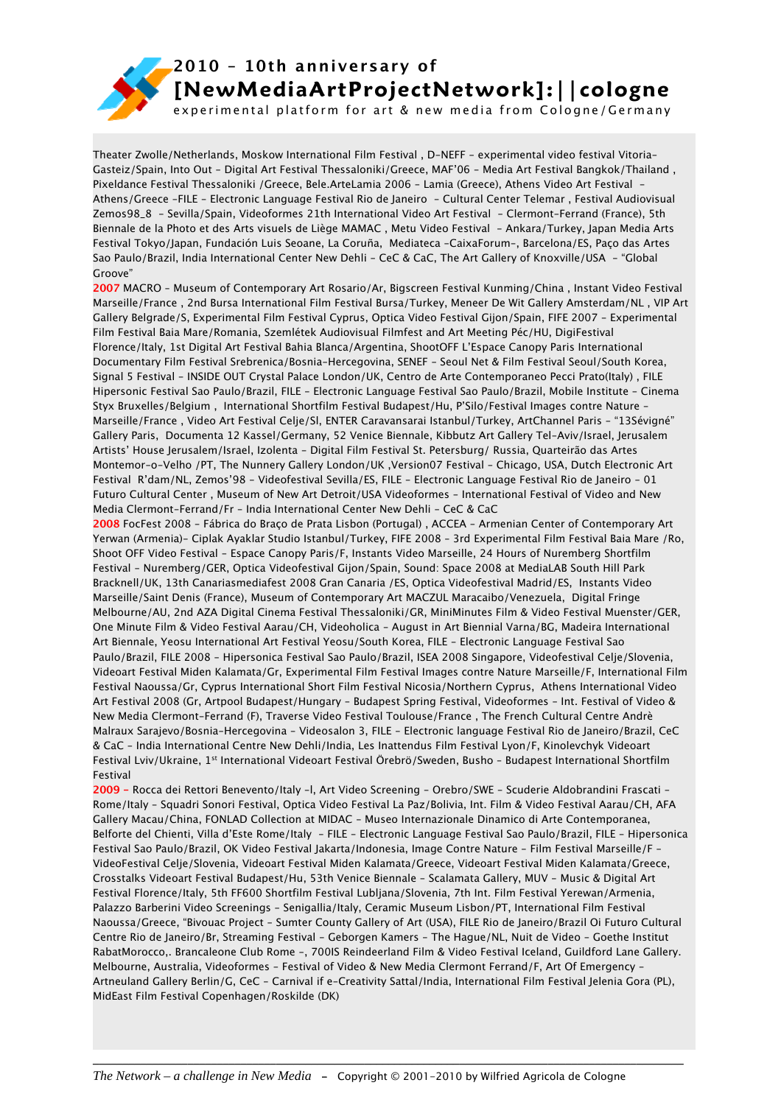

experimental platform for art & new media from Cologne/Germany

Theater Zwolle/Netherlands, Moskow International Film Festival , D-NEFF - experimental video festival Vitoria-Gasteiz/Spain, Into Out - Digital Art Festival Thessaloniki/Greece, MAF'06 - Media Art Festival Bangkok/Thailand , Pixeldance Festival Thessaloniki /Greece, Bele.ArteLamia 2006 - Lamia (Greece), Athens Video Art Festival - Athens/Greece -FILE - Electronic Language Festival Rio de Janeiro - Cultural Center Telemar , Festival Audiovisual Zemos98\_8 - Sevilla/Spain, Videoformes 21th International Video Art Festival - Clermont-Ferrand (France), 5th Biennale de la Photo et des Arts visuels de Liège MAMAC , Metu Video Festival - Ankara/Turkey, Japan Media Arts Festival Tokyo/Japan, Fundación Luis Seoane, La Coruña, Mediateca -CaixaForum-, Barcelona/ES, Paço das Artes Sao Paulo/Brazil, India International Center New Dehli - CeC & CaC, The Art Gallery of Knoxville/USA - "Global Groove"

**2007** MACRO – Museum of Contemporary Art Rosario/Ar, Bigscreen Festival Kunming/China , Instant Video Festival Marseille/France , 2nd Bursa International Film Festival Bursa/Turkey, Meneer De Wit Gallery Amsterdam/NL , VIP Art Gallery Belgrade/S, Experimental Film Festival Cyprus, Optica Video Festival Gijon/Spain, FIFE 2007 - Experimental Film Festival Baia Mare/Romania, Szemlétek Audiovisual Filmfest and Art Meeting Péc/HU, DigiFestival Florence/Italy, 1st Digital Art Festival Bahia Blanca/Argentina, ShootOFF L'Espace Canopy Paris International Documentary Film Festival Srebrenica/Bosnia-Hercegovina, SENEF - Seoul Net & Film Festival Seoul/South Korea, Signal 5 Festival - INSIDE OUT Crystal Palace London/UK, Centro de Arte Contemporaneo Pecci Prato(Italy) , FILE Hipersonic Festival Sao Paulo/Brazil, FILE - Electronic Language Festival Sao Paulo/Brazil, Mobile Institute - Cinema Styx Bruxelles/Belgium , International Shortfilm Festival Budapest/Hu, P'Silo/Festival Images contre Nature - Marseille/France , Video Art Festival Celje/Sl, ENTER Caravansarai Istanbul/Turkey, ArtChannel Paris - "13Sévigné" Gallery Paris, Documenta 12 Kassel/Germany, 52 Venice Biennale, Kibbutz Art Gallery Tel-Aviv/Israel, Jerusalem Artists' House Jerusalem/Israel, Izolenta - Digital Film Festival St. Petersburg/ Russia, Quarteirão das Artes Montemor-o-Velho /PT, The Nunnery Gallery London/UK ,Version07 Festival - Chicago, USA, Dutch Electronic Art Festival R'dam/NL, Zemos'98 - Videofestival Sevilla/ES, FILE - Electronic Language Festival Rio de Janeiro - 01 Futuro Cultural Center , Museum of New Art Detroit/USA Videoformes - International Festival of Video and New Media Clermont-Ferrand/Fr - India International Center New Dehli - CeC & CaC

**2008** FocFest 2008 - Fábrica do Braço de Prata Lisbon (Portugal) , ACCEA - Armenian Center of Contemporary Art Yerwan (Armenia)- Ciplak Ayaklar Studio Istanbul/Turkey, FIFE 2008 – 3rd Experimental Film Festival Baia Mare /Ro, Shoot OFF Video Festival - Espace Canopy Paris/F, Instants Video Marseille, 24 Hours of Nuremberg Shortfilm Festival - Nuremberg/GER, Optica Videofestival Gijon/Spain, Sound: Space 2008 at MediaLAB South Hill Park Bracknell/UK, 13th Canariasmediafest 2008 Gran Canaria /ES, Optica Videofestival Madrid/ES, Instants Video Marseille/Saint Denis (France), Museum of Contemporary Art MACZUL Maracaibo/Venezuela, Digital Fringe Melbourne/AU, 2nd AZA Digital Cinema Festival Thessaloniki/GR, MiniMinutes Film & Video Festival Muenster/GER, One Minute Film & Video Festival Aarau/CH, Videoholica - August in Art Biennial Varna/BG, Madeira International Art Biennale, Yeosu International Art Festival Yeosu/South Korea, FILE - Electronic Language Festival Sao Paulo/Brazil, FILE 2008 - Hipersonica Festival Sao Paulo/Brazil, ISEA 2008 Singapore, Videofestival Celje/Slovenia, Videoart Festival Miden Kalamata/Gr, Experimental Film Festival Images contre Nature Marseille/F, International Film Festival Naoussa/Gr, Cyprus International Short Film Festival Nicosia/Northern Cyprus, Athens International Video Art Festival 2008 (Gr, Artpool Budapest/Hungary - Budapest Spring Festival, Videoformes - Int. Festival of Video & New Media Clermont-Ferrand (F), Traverse Video Festival Toulouse/France , The French Cultural Centre Andrè Malraux Sarajevo/Bosnia-Hercegovina - Videosalon 3, FILE - Electronic language Festival Rio de Janeiro/Brazil, CeC & CaC - India International Centre New Dehli/India, Les Inattendus Film Festival Lyon/F, Kinolevchyk Videoart Festival Lviv/Ukraine, 1st International Videoart Festival Örebrö/Sweden, Busho – Budapest International Shortfilm Festival

**2009 -** Rocca dei Rettori Benevento/Italy -l, Art Video Screening - Orebro/SWE - Scuderie Aldobrandini Frascati - Rome/Italy - Squadri Sonori Festival, Optica Video Festival La Paz/Bolivia, Int. Film & Video Festival Aarau/CH, AFA Gallery Macau/China, FONLAD Collection at MIDAC - Museo Internazionale Dinamico di Arte Contemporanea, Belforte del Chienti, Villa d'Este Rome/Italy - FILE - Electronic Language Festival Sao Paulo/Brazil, FILE - Hipersonica Festival Sao Paulo/Brazil, OK Video Festival Jakarta/Indonesia, Image Contre Nature - Film Festival Marseille/F - VideoFestival Celje/Slovenia, Videoart Festival Miden Kalamata/Greece, Videoart Festival Miden Kalamata/Greece, Crosstalks Videoart Festival Budapest/Hu, 53th Venice Biennale - Scalamata Gallery, MUV - Music & Digital Art Festival Florence/Italy, 5th FF600 Shortfilm Festival Lubljana/Slovenia, 7th Int. Film Festival Yerewan/Armenia, Palazzo Barberini Video Screenings - Senigallia/Italy, Ceramic Museum Lisbon/PT, International Film Festival Naoussa/Greece, "Bivouac Project - Sumter County Gallery of Art (USA), FILE Rio de Janeiro/Brazil Oi Futuro Cultural Centre Rio de Janeiro/Br, Streaming Festival - Geborgen Kamers - The Hague/NL, Nuit de Video - Goethe Institut RabatMorocco,. Brancaleone Club Rome -, 700IS Reindeerland Film & Video Festival Iceland, Guildford Lane Gallery. Melbourne, Australia, Videoformes - Festival of Video & New Media Clermont Ferrand/F, Art Of Emergency - Artneuland Gallery Berlin/G, CeC - Carnival if e-Creativity Sattal/India, International Film Festival Jelenia Gora (PL), MidEast Film Festival Copenhagen/Roskilde (DK)